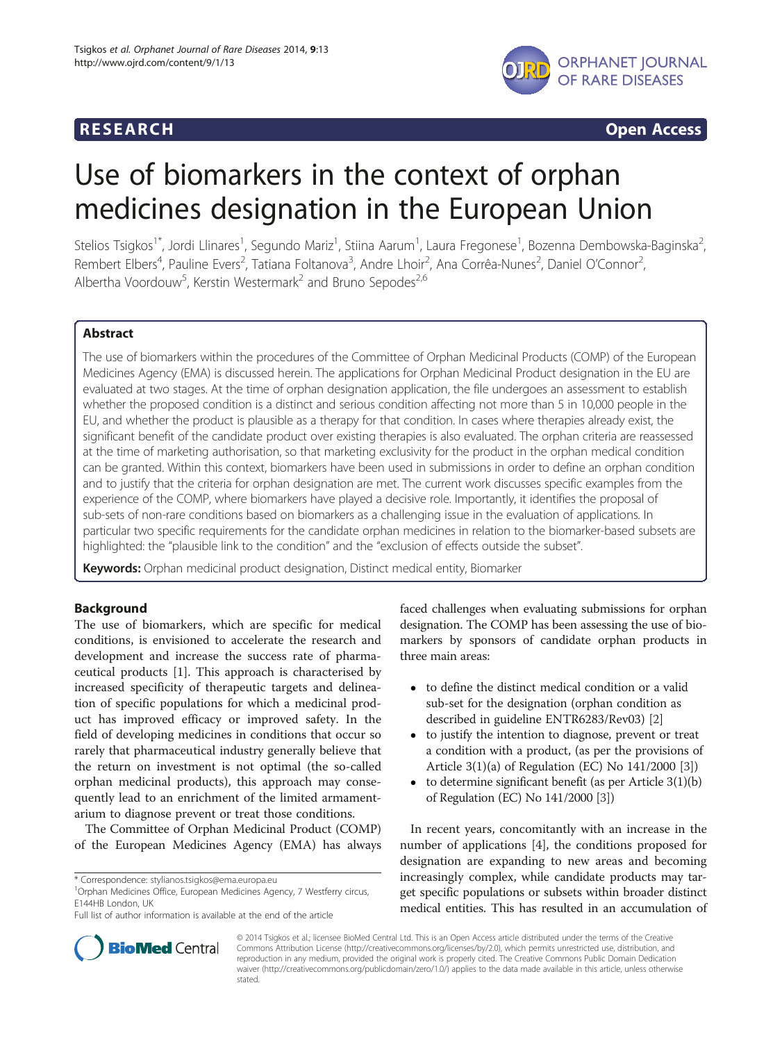

**RESEARCH CHINESEARCH CHINESEARCH CHINESE** 

# Use of biomarkers in the context of orphan medicines designation in the European Union

Stelios Tsigkos<sup>1\*</sup>, Jordi Llinares<sup>1</sup>, Segundo Mariz<sup>1</sup>, Stiina Aarum<sup>1</sup>, Laura Fregonese<sup>1</sup>, Bozenna Dembowska-Baginska<sup>2</sup> , Rembert Elbers<sup>4</sup>, Pauline Evers<sup>2</sup>, Tatiana Foltanova<sup>3</sup>, Andre Lhoir<sup>2</sup>, Ana Corrêa-Nunes<sup>2</sup>, Daniel O'Connor<sup>2</sup> , Albertha Voordouw<sup>5</sup>, Kerstin Westermark<sup>2</sup> and Bruno Sepodes<sup>2,6</sup>

# Abstract

The use of biomarkers within the procedures of the Committee of Orphan Medicinal Products (COMP) of the European Medicines Agency (EMA) is discussed herein. The applications for Orphan Medicinal Product designation in the EU are evaluated at two stages. At the time of orphan designation application, the file undergoes an assessment to establish whether the proposed condition is a distinct and serious condition affecting not more than 5 in 10,000 people in the EU, and whether the product is plausible as a therapy for that condition. In cases where therapies already exist, the significant benefit of the candidate product over existing therapies is also evaluated. The orphan criteria are reassessed at the time of marketing authorisation, so that marketing exclusivity for the product in the orphan medical condition can be granted. Within this context, biomarkers have been used in submissions in order to define an orphan condition and to justify that the criteria for orphan designation are met. The current work discusses specific examples from the experience of the COMP, where biomarkers have played a decisive role. Importantly, it identifies the proposal of sub-sets of non-rare conditions based on biomarkers as a challenging issue in the evaluation of applications. In particular two specific requirements for the candidate orphan medicines in relation to the biomarker-based subsets are highlighted: the "plausible link to the condition" and the "exclusion of effects outside the subset".

Keywords: Orphan medicinal product designation, Distinct medical entity, Biomarker

# Background

The use of biomarkers, which are specific for medical conditions, is envisioned to accelerate the research and development and increase the success rate of pharmaceutical products [[1\]](#page-4-0). This approach is characterised by increased specificity of therapeutic targets and delineation of specific populations for which a medicinal product has improved efficacy or improved safety. In the field of developing medicines in conditions that occur so rarely that pharmaceutical industry generally believe that the return on investment is not optimal (the so-called orphan medicinal products), this approach may consequently lead to an enrichment of the limited armamentarium to diagnose prevent or treat those conditions.

The Committee of Orphan Medicinal Product (COMP) of the European Medicines Agency (EMA) has always

faced challenges when evaluating submissions for orphan designation. The COMP has been assessing the use of biomarkers by sponsors of candidate orphan products in three main areas:

- to define the distinct medical condition or a valid sub-set for the designation (orphan condition as described in guideline ENTR6283/Rev03) [[2](#page-4-0)]
- to justify the intention to diagnose, prevent or treat a condition with a product, (as per the provisions of Article 3(1)(a) of Regulation (EC) No 141/2000 [[3\]](#page-4-0))
- $\bullet$  to determine significant benefit (as per Article 3(1)(b) of Regulation (EC) No 141/2000 [\[3](#page-4-0)])

In recent years, concomitantly with an increase in the number of applications [\[4\]](#page-4-0), the conditions proposed for designation are expanding to new areas and becoming increasingly complex, while candidate products may target specific populations or subsets within broader distinct medical entities. This has resulted in an accumulation of



© 2014 Tsigkos et al.; licensee BioMed Central Ltd. This is an Open Access article distributed under the terms of the Creative Commons Attribution License [\(http://creativecommons.org/licenses/by/2.0\)](http://creativecommons.org/licenses/by/2.0), which permits unrestricted use, distribution, and reproduction in any medium, provided the original work is properly cited. The Creative Commons Public Domain Dedication waiver [\(http://creativecommons.org/publicdomain/zero/1.0/\)](http://creativecommons.org/publicdomain/zero/1.0/) applies to the data made available in this article, unless otherwise stated.

<sup>\*</sup> Correspondence: [stylianos.tsigkos@ema.europa.eu](mailto:stylianos.tsigkos@ema.europa.eu) <sup>1</sup>

<sup>&</sup>lt;sup>1</sup>Orphan Medicines Office, European Medicines Agency, 7 Westferry circus, E144HB London, UK

Full list of author information is available at the end of the article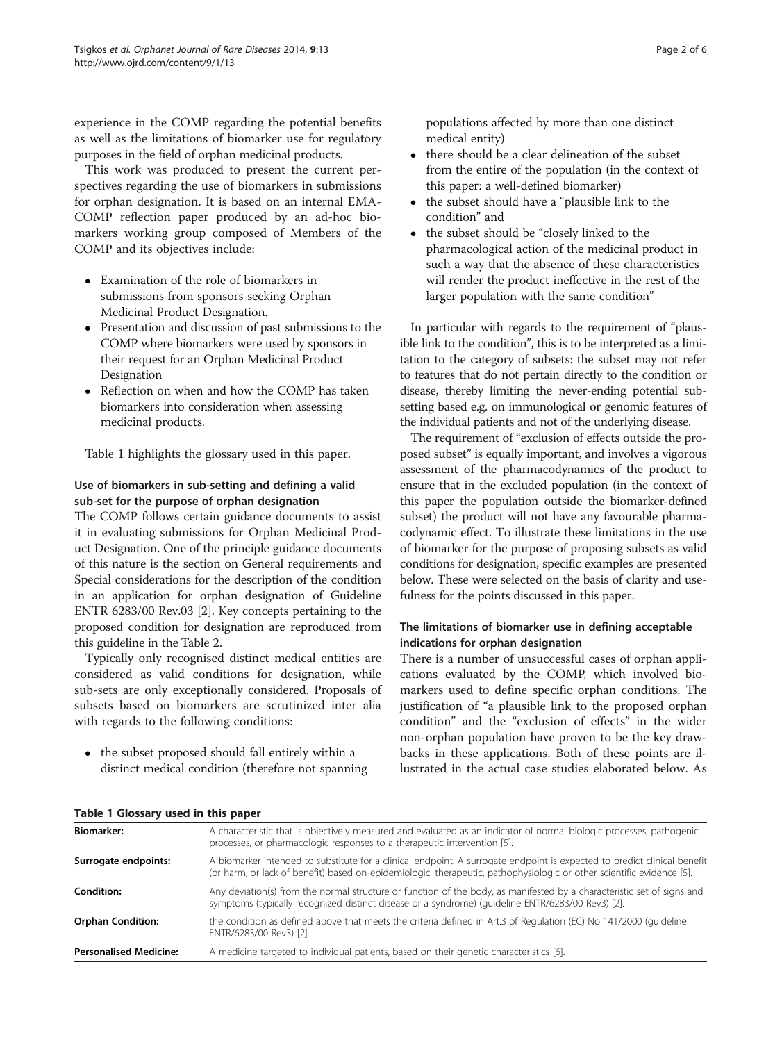experience in the COMP regarding the potential benefits as well as the limitations of biomarker use for regulatory purposes in the field of orphan medicinal products.

This work was produced to present the current perspectives regarding the use of biomarkers in submissions for orphan designation. It is based on an internal EMA-COMP reflection paper produced by an ad-hoc biomarkers working group composed of Members of the COMP and its objectives include:

- Examination of the role of biomarkers in submissions from sponsors seeking Orphan Medicinal Product Designation.
- Presentation and discussion of past submissions to the COMP where biomarkers were used by sponsors in their request for an Orphan Medicinal Product Designation
- Reflection on when and how the COMP has taken biomarkers into consideration when assessing medicinal products.

Table 1 highlights the glossary used in this paper.

# Use of biomarkers in sub-setting and defining a valid sub-set for the purpose of orphan designation

The COMP follows certain guidance documents to assist it in evaluating submissions for Orphan Medicinal Product Designation. One of the principle guidance documents of this nature is the section on General requirements and Special considerations for the description of the condition in an application for orphan designation of Guideline ENTR 6283/00 Rev.03 [\[2](#page-4-0)]. Key concepts pertaining to the proposed condition for designation are reproduced from this guideline in the Table [2](#page-2-0).

Typically only recognised distinct medical entities are considered as valid conditions for designation, while sub-sets are only exceptionally considered. Proposals of subsets based on biomarkers are scrutinized inter alia with regards to the following conditions:

• the subset proposed should fall entirely within a distinct medical condition (therefore not spanning populations affected by more than one distinct medical entity)

- there should be a clear delineation of the subset from the entire of the population (in the context of this paper: a well-defined biomarker)
- the subset should have a "plausible link to the condition" and
- the subset should be "closely linked to the pharmacological action of the medicinal product in such a way that the absence of these characteristics will render the product ineffective in the rest of the larger population with the same condition"

In particular with regards to the requirement of "plausible link to the condition", this is to be interpreted as a limitation to the category of subsets: the subset may not refer to features that do not pertain directly to the condition or disease, thereby limiting the never-ending potential subsetting based e.g. on immunological or genomic features of the individual patients and not of the underlying disease.

The requirement of "exclusion of effects outside the proposed subset" is equally important, and involves a vigorous assessment of the pharmacodynamics of the product to ensure that in the excluded population (in the context of this paper the population outside the biomarker-defined subset) the product will not have any favourable pharmacodynamic effect. To illustrate these limitations in the use of biomarker for the purpose of proposing subsets as valid conditions for designation, specific examples are presented below. These were selected on the basis of clarity and usefulness for the points discussed in this paper.

# The limitations of biomarker use in defining acceptable indications for orphan designation

There is a number of unsuccessful cases of orphan applications evaluated by the COMP, which involved biomarkers used to define specific orphan conditions. The justification of "a plausible link to the proposed orphan condition" and the "exclusion of effects" in the wider non-orphan population have proven to be the key drawbacks in these applications. Both of these points are illustrated in the actual case studies elaborated below. As

| <b>Personalised Medicine:</b> | A medicine targeted to individual patients, based on their genetic characteristics [6].                                                                                                                                                           |
|-------------------------------|---------------------------------------------------------------------------------------------------------------------------------------------------------------------------------------------------------------------------------------------------|
| Orphan Condition:             | the condition as defined above that meets the criteria defined in Art.3 of Regulation (EC) No 141/2000 (quideline<br>ENTR/6283/00 Rev3) [2].                                                                                                      |
| Condition:                    | Any deviation(s) from the normal structure or function of the body, as manifested by a characteristic set of signs and<br>symptoms (typically recognized distinct disease or a syndrome) (quideline ENTR/6283/00 Rev3) [2].                       |
| Surrogate endpoints:          | A biomarker intended to substitute for a clinical endpoint. A surrogate endpoint is expected to predict clinical benefit<br>(or harm, or lack of benefit) based on epidemiologic, therapeutic, pathophysiologic or other scientific evidence [5]. |
| Biomarker:                    | A characteristic that is objectively measured and evaluated as an indicator of normal biologic processes, pathogenic<br>processes, or pharmacologic responses to a therapeutic intervention [5].                                                  |

# Table 1 Glossary used in this paper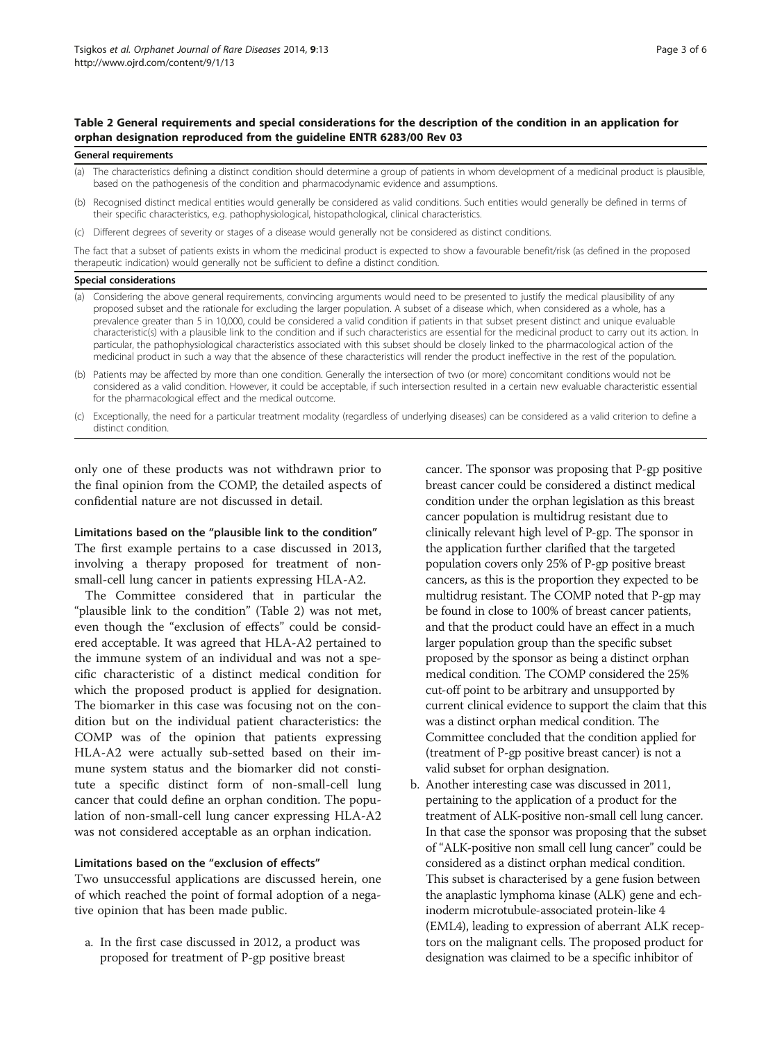# <span id="page-2-0"></span>Table 2 General requirements and special considerations for the description of the condition in an application for orphan designation reproduced from the guideline ENTR 6283/00 Rev 03

#### General requirements

- The characteristics defining a distinct condition should determine a group of patients in whom development of a medicinal product is plausible, based on the pathogenesis of the condition and pharmacodynamic evidence and assumptions.
- (b) Recognised distinct medical entities would generally be considered as valid conditions. Such entities would generally be defined in terms of their specific characteristics, e.g. pathophysiological, histopathological, clinical characteristics.
- (c) Different degrees of severity or stages of a disease would generally not be considered as distinct conditions.

The fact that a subset of patients exists in whom the medicinal product is expected to show a favourable benefit/risk (as defined in the proposed therapeutic indication) would generally not be sufficient to define a distinct condition.

#### Special considerations

- (a) Considering the above general requirements, convincing arguments would need to be presented to justify the medical plausibility of any proposed subset and the rationale for excluding the larger population. A subset of a disease which, when considered as a whole, has a prevalence greater than 5 in 10,000, could be considered a valid condition if patients in that subset present distinct and unique evaluable characteristic(s) with a plausible link to the condition and if such characteristics are essential for the medicinal product to carry out its action. In particular, the pathophysiological characteristics associated with this subset should be closely linked to the pharmacological action of the medicinal product in such a way that the absence of these characteristics will render the product ineffective in the rest of the population.
- (b) Patients may be affected by more than one condition. Generally the intersection of two (or more) concomitant conditions would not be considered as a valid condition. However, it could be acceptable, if such intersection resulted in a certain new evaluable characteristic essential for the pharmacological effect and the medical outcome.
- (c) Exceptionally, the need for a particular treatment modality (regardless of underlying diseases) can be considered as a valid criterion to define a distinct condition.

only one of these products was not withdrawn prior to the final opinion from the COMP, the detailed aspects of confidential nature are not discussed in detail.

# Limitations based on the "plausible link to the condition"

The first example pertains to a case discussed in 2013, involving a therapy proposed for treatment of nonsmall-cell lung cancer in patients expressing HLA-A2.

The Committee considered that in particular the "plausible link to the condition" (Table 2) was not met, even though the "exclusion of effects" could be considered acceptable. It was agreed that HLA-A2 pertained to the immune system of an individual and was not a specific characteristic of a distinct medical condition for which the proposed product is applied for designation. The biomarker in this case was focusing not on the condition but on the individual patient characteristics: the COMP was of the opinion that patients expressing HLA-A2 were actually sub-setted based on their immune system status and the biomarker did not constitute a specific distinct form of non-small-cell lung cancer that could define an orphan condition. The population of non-small-cell lung cancer expressing HLA-A2 was not considered acceptable as an orphan indication.

# Limitations based on the "exclusion of effects"

Two unsuccessful applications are discussed herein, one of which reached the point of formal adoption of a negative opinion that has been made public.

a. In the first case discussed in 2012, a product was proposed for treatment of P-gp positive breast

cancer. The sponsor was proposing that P-gp positive breast cancer could be considered a distinct medical condition under the orphan legislation as this breast cancer population is multidrug resistant due to clinically relevant high level of P-gp. The sponsor in the application further clarified that the targeted population covers only 25% of P-gp positive breast cancers, as this is the proportion they expected to be multidrug resistant. The COMP noted that P-gp may be found in close to 100% of breast cancer patients, and that the product could have an effect in a much larger population group than the specific subset proposed by the sponsor as being a distinct orphan medical condition. The COMP considered the 25% cut-off point to be arbitrary and unsupported by current clinical evidence to support the claim that this was a distinct orphan medical condition. The Committee concluded that the condition applied for (treatment of P-gp positive breast cancer) is not a valid subset for orphan designation.

b. Another interesting case was discussed in 2011, pertaining to the application of a product for the treatment of ALK-positive non-small cell lung cancer. In that case the sponsor was proposing that the subset of "ALK-positive non small cell lung cancer" could be considered as a distinct orphan medical condition. This subset is characterised by a gene fusion between the anaplastic lymphoma kinase (ALK) gene and echinoderm microtubule-associated protein-like 4 (EML4), leading to expression of aberrant ALK receptors on the malignant cells. The proposed product for designation was claimed to be a specific inhibitor of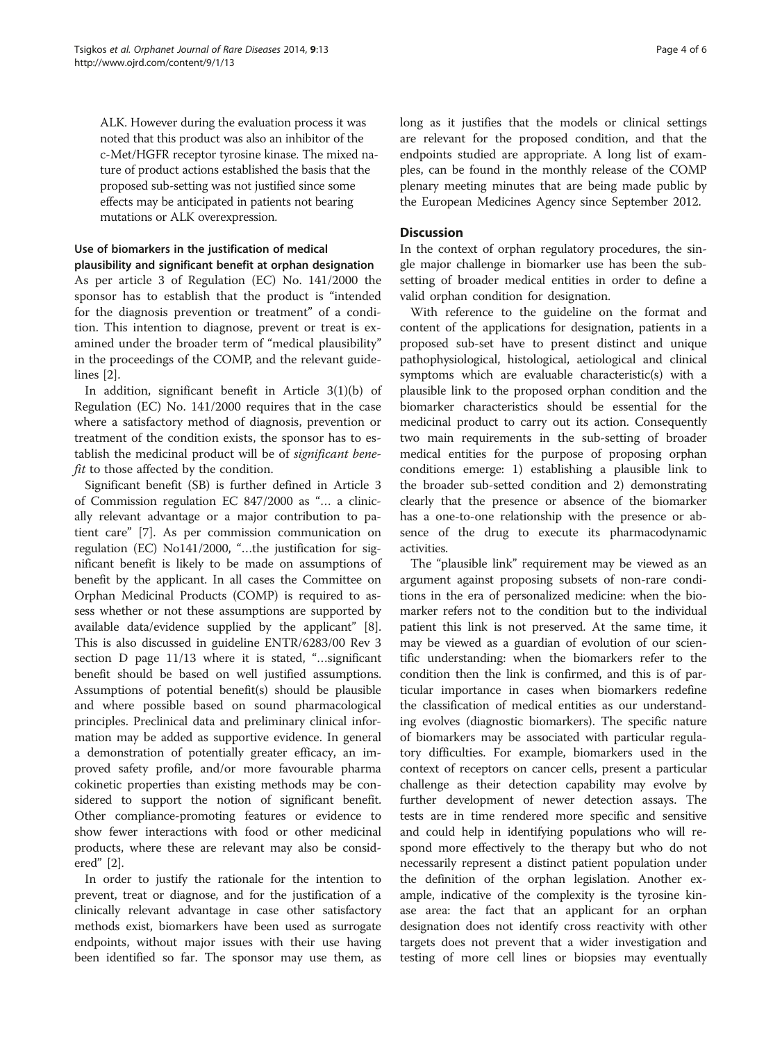ALK. However during the evaluation process it was noted that this product was also an inhibitor of the c-Met/HGFR receptor tyrosine kinase. The mixed nature of product actions established the basis that the proposed sub-setting was not justified since some effects may be anticipated in patients not bearing mutations or ALK overexpression.

# Use of biomarkers in the justification of medical plausibility and significant benefit at orphan designation

As per article 3 of Regulation (EC) No. 141/2000 the sponsor has to establish that the product is "intended for the diagnosis prevention or treatment" of a condition. This intention to diagnose, prevent or treat is examined under the broader term of "medical plausibility" in the proceedings of the COMP, and the relevant guidelines [[2](#page-4-0)].

In addition, significant benefit in Article 3(1)(b) of Regulation (EC) No. 141/2000 requires that in the case where a satisfactory method of diagnosis, prevention or treatment of the condition exists, the sponsor has to establish the medicinal product will be of significant benefit to those affected by the condition.

Significant benefit (SB) is further defined in Article 3 of Commission regulation EC 847/2000 as "… a clinically relevant advantage or a major contribution to patient care" [[7](#page-4-0)]. As per commission communication on regulation (EC) No141/2000, "…the justification for significant benefit is likely to be made on assumptions of benefit by the applicant. In all cases the Committee on Orphan Medicinal Products (COMP) is required to assess whether or not these assumptions are supported by available data/evidence supplied by the applicant" [[8](#page-5-0)]. This is also discussed in guideline ENTR/6283/00 Rev 3 section D page 11/13 where it is stated, "…significant benefit should be based on well justified assumptions. Assumptions of potential benefit(s) should be plausible and where possible based on sound pharmacological principles. Preclinical data and preliminary clinical information may be added as supportive evidence. In general a demonstration of potentially greater efficacy, an improved safety profile, and/or more favourable pharma cokinetic properties than existing methods may be considered to support the notion of significant benefit. Other compliance-promoting features or evidence to show fewer interactions with food or other medicinal products, where these are relevant may also be considered" [[2](#page-4-0)].

In order to justify the rationale for the intention to prevent, treat or diagnose, and for the justification of a clinically relevant advantage in case other satisfactory methods exist, biomarkers have been used as surrogate endpoints, without major issues with their use having been identified so far. The sponsor may use them, as long as it justifies that the models or clinical settings are relevant for the proposed condition, and that the endpoints studied are appropriate. A long list of examples, can be found in the monthly release of the COMP plenary meeting minutes that are being made public by the European Medicines Agency since September 2012.

# **Discussion**

In the context of orphan regulatory procedures, the single major challenge in biomarker use has been the subsetting of broader medical entities in order to define a valid orphan condition for designation.

With reference to the guideline on the format and content of the applications for designation, patients in a proposed sub-set have to present distinct and unique pathophysiological, histological, aetiological and clinical symptoms which are evaluable characteristic(s) with a plausible link to the proposed orphan condition and the biomarker characteristics should be essential for the medicinal product to carry out its action. Consequently two main requirements in the sub-setting of broader medical entities for the purpose of proposing orphan conditions emerge: 1) establishing a plausible link to the broader sub-setted condition and 2) demonstrating clearly that the presence or absence of the biomarker has a one-to-one relationship with the presence or absence of the drug to execute its pharmacodynamic activities.

The "plausible link" requirement may be viewed as an argument against proposing subsets of non-rare conditions in the era of personalized medicine: when the biomarker refers not to the condition but to the individual patient this link is not preserved. At the same time, it may be viewed as a guardian of evolution of our scientific understanding: when the biomarkers refer to the condition then the link is confirmed, and this is of particular importance in cases when biomarkers redefine the classification of medical entities as our understanding evolves (diagnostic biomarkers). The specific nature of biomarkers may be associated with particular regulatory difficulties. For example, biomarkers used in the context of receptors on cancer cells, present a particular challenge as their detection capability may evolve by further development of newer detection assays. The tests are in time rendered more specific and sensitive and could help in identifying populations who will respond more effectively to the therapy but who do not necessarily represent a distinct patient population under the definition of the orphan legislation. Another example, indicative of the complexity is the tyrosine kinase area: the fact that an applicant for an orphan designation does not identify cross reactivity with other targets does not prevent that a wider investigation and testing of more cell lines or biopsies may eventually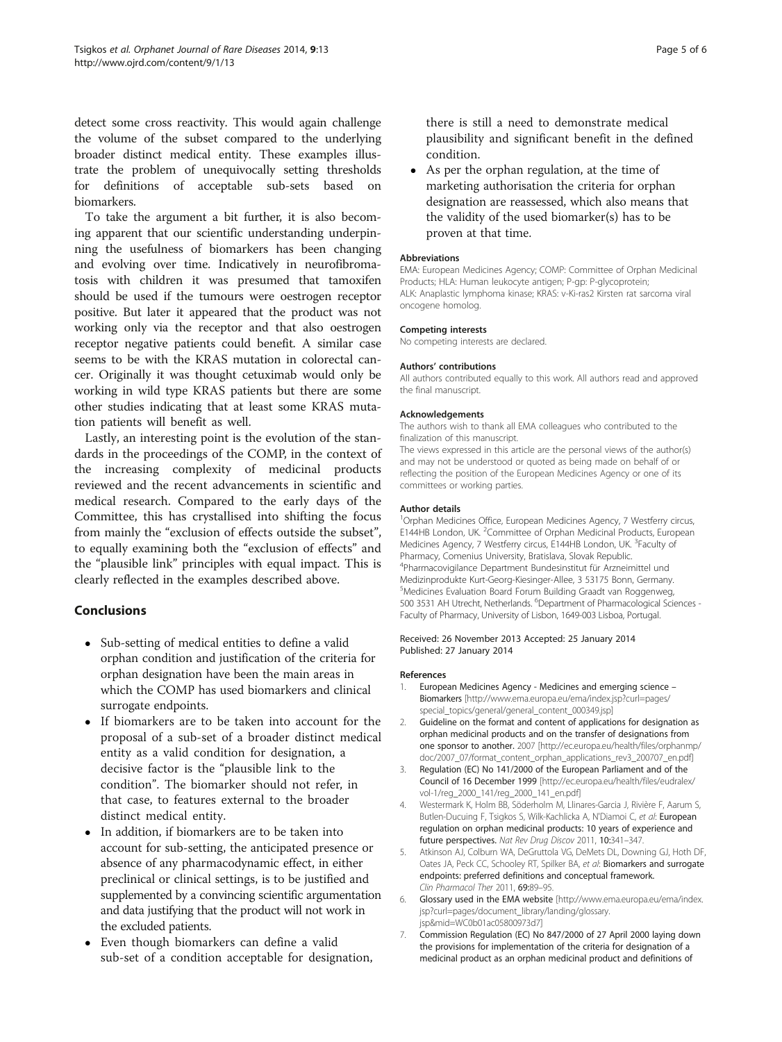<span id="page-4-0"></span>detect some cross reactivity. This would again challenge the volume of the subset compared to the underlying broader distinct medical entity. These examples illustrate the problem of unequivocally setting thresholds for definitions of acceptable sub-sets based on biomarkers.

To take the argument a bit further, it is also becoming apparent that our scientific understanding underpinning the usefulness of biomarkers has been changing and evolving over time. Indicatively in neurofibromatosis with children it was presumed that tamoxifen should be used if the tumours were oestrogen receptor positive. But later it appeared that the product was not working only via the receptor and that also oestrogen receptor negative patients could benefit. A similar case seems to be with the KRAS mutation in colorectal cancer. Originally it was thought cetuximab would only be working in wild type KRAS patients but there are some other studies indicating that at least some KRAS mutation patients will benefit as well.

Lastly, an interesting point is the evolution of the standards in the proceedings of the COMP, in the context of the increasing complexity of medicinal products reviewed and the recent advancements in scientific and medical research. Compared to the early days of the Committee, this has crystallised into shifting the focus from mainly the "exclusion of effects outside the subset", to equally examining both the "exclusion of effects" and the "plausible link" principles with equal impact. This is clearly reflected in the examples described above.

# Conclusions

- Sub-setting of medical entities to define a valid orphan condition and justification of the criteria for orphan designation have been the main areas in which the COMP has used biomarkers and clinical surrogate endpoints.
- If biomarkers are to be taken into account for the proposal of a sub-set of a broader distinct medical entity as a valid condition for designation, a decisive factor is the "plausible link to the condition". The biomarker should not refer, in that case, to features external to the broader distinct medical entity.
- In addition, if biomarkers are to be taken into account for sub-setting, the anticipated presence or absence of any pharmacodynamic effect, in either preclinical or clinical settings, is to be justified and supplemented by a convincing scientific argumentation and data justifying that the product will not work in the excluded patients.
- Even though biomarkers can define a valid sub-set of a condition acceptable for designation,

there is still a need to demonstrate medical plausibility and significant benefit in the defined condition.

 As per the orphan regulation, at the time of marketing authorisation the criteria for orphan designation are reassessed, which also means that the validity of the used biomarker(s) has to be proven at that time.

## **Abbreviations**

EMA: European Medicines Agency; COMP: Committee of Orphan Medicinal Products; HLA: Human leukocyte antigen; P-gp: P-glycoprotein; ALK: Anaplastic lymphoma kinase; KRAS: v-Ki-ras2 Kirsten rat sarcoma viral oncogene homolog.

#### Competing interests

No competing interests are declared.

#### Authors' contributions

All authors contributed equally to this work. All authors read and approved the final manuscript.

## Acknowledgements

The authors wish to thank all EMA colleagues who contributed to the finalization of this manuscript.

The views expressed in this article are the personal views of the author(s) and may not be understood or quoted as being made on behalf of or reflecting the position of the European Medicines Agency or one of its committees or working parties.

#### Author details

<sup>1</sup>Orphan Medicines Office, European Medicines Agency, 7 Westferry circus E144HB London, UK. <sup>2</sup> Committee of Orphan Medicinal Products, European Medicines Agency, 7 Westferry circus, E144HB London, UK. <sup>3</sup>Faculty of Pharmacy, Comenius University, Bratislava, Slovak Republic. 4 Pharmacovigilance Department Bundesinstitut für Arzneimittel und Medizinprodukte Kurt-Georg-Kiesinger-Allee, 3 53175 Bonn, Germany. 5 Medicines Evaluation Board Forum Building Graadt van Roggenweg, 500 3531 AH Utrecht, Netherlands. <sup>6</sup>Department of Pharmacological Sciences -Faculty of Pharmacy, University of Lisbon, 1649-003 Lisboa, Portugal.

Received: 26 November 2013 Accepted: 25 January 2014 Published: 27 January 2014

#### References

- 1. European Medicines Agency Medicines and emerging science Biomarkers [[http://www.ema.europa.eu/ema/index.jsp?curl=pages/](http://www.ema.europa.eu/ema/index.jsp?curl=pages/special_topics/general/general_content_000349.jsp) [special\\_topics/general/general\\_content\\_000349.jsp\]](http://www.ema.europa.eu/ema/index.jsp?curl=pages/special_topics/general/general_content_000349.jsp)
- 2. Guideline on the format and content of applications for designation as orphan medicinal products and on the transfer of designations from one sponsor to another. 2007 [[http://ec.europa.eu/health/files/orphanmp/](http://ec.europa.eu/health/files/orphanmp/doc/2007_07/format_content_orphan_applications_rev3_200707_en.pdf) [doc/2007\\_07/format\\_content\\_orphan\\_applications\\_rev3\\_200707\\_en.pdf\]](http://ec.europa.eu/health/files/orphanmp/doc/2007_07/format_content_orphan_applications_rev3_200707_en.pdf)
- 3. Regulation (EC) No 141/2000 of the European Parliament and of the Council of 16 December 1999 [[http://ec.europa.eu/health/files/eudralex/](http://ec.europa.eu/health/files/eudralex/vol-1/reg_2000_141/reg_2000_141_en.pdf) [vol-1/reg\\_2000\\_141/reg\\_2000\\_141\\_en.pdf\]](http://ec.europa.eu/health/files/eudralex/vol-1/reg_2000_141/reg_2000_141_en.pdf)
- 4. Westermark K, Holm BB, Söderholm M, Llinares-Garcia J, Rivière F, Aarum S, Butlen-Ducuing F, Tsigkos S, Wilk-Kachlicka A, N'Diamoi C, et al: European regulation on orphan medicinal products: 10 years of experience and future perspectives. Nat Rev Drug Discov 2011, 10:341–347.
- 5. Atkinson AJ, Colburn WA, DeGruttola VG, DeMets DL, Downing GJ, Hoth DF, Oates JA, Peck CC, Schooley RT, Spilker BA, et al: Biomarkers and surrogate endpoints: preferred definitions and conceptual framework. Clin Pharmacol Ther 2011, 69:89–95.
- 6. Glossary used in the EMA website [\[http://www.ema.europa.eu/ema/index.](http://www.ema.europa.eu/ema/index.jsp?curl=pages/document_library/landing/glossary.jsp&mid=WC0b01ac05800973d7) [jsp?curl=pages/document\\_library/landing/glossary.](http://www.ema.europa.eu/ema/index.jsp?curl=pages/document_library/landing/glossary.jsp&mid=WC0b01ac05800973d7) [jsp&mid=WC0b01ac05800973d7\]](http://www.ema.europa.eu/ema/index.jsp?curl=pages/document_library/landing/glossary.jsp&mid=WC0b01ac05800973d7)
- 7. Commission Regulation (EC) No 847/2000 of 27 April 2000 laying down the provisions for implementation of the criteria for designation of a medicinal product as an orphan medicinal product and definitions of